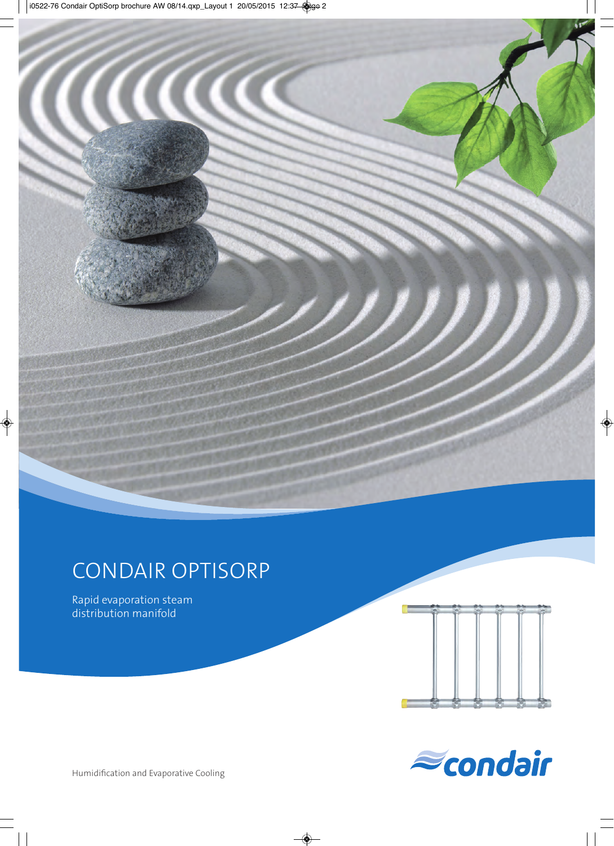

# CONDAIR OPTISORP

Rapid evaporation steam distribution manifold





Humidification and Evaporative Cooling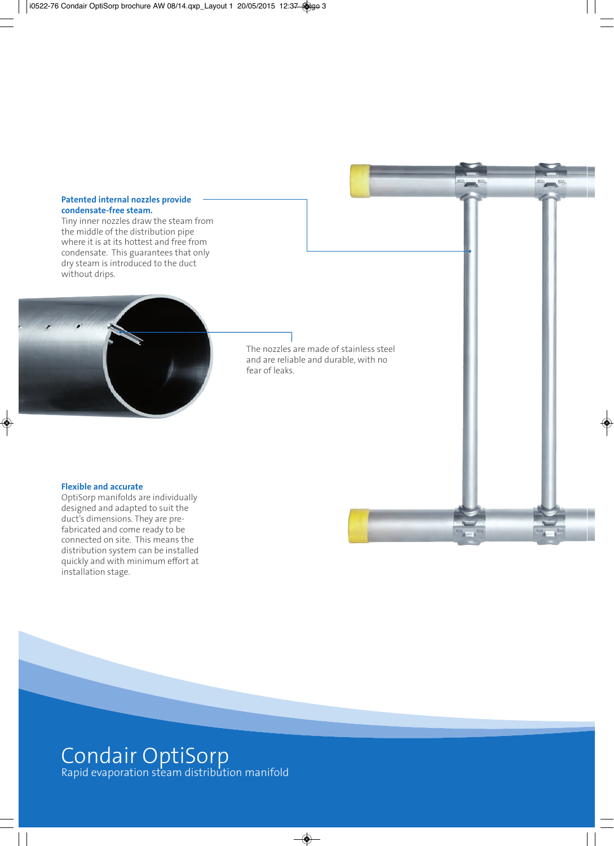#### **Patented internal nozzles provide condensate-free steam.**

Tiny inner nozzles draw the steam from the middle of the distribution pipe where it is at its hottest and free from condensate. This guarantees that only dry steam is introduced to the duct without drips.



The nozzles are made of stainless steel and are reliable and durable, with no fear of leaks.

#### **Flexible and accurate**

OptiSorp manifolds are individually designed and adapted to suit the duct's dimensions. They are prefabricated and come ready to be connected on site. This means the distribution system can be installed quickly and with minimum effort at installation stage.

## Condair OptiSorp Rapid evaporation steam distribution manifold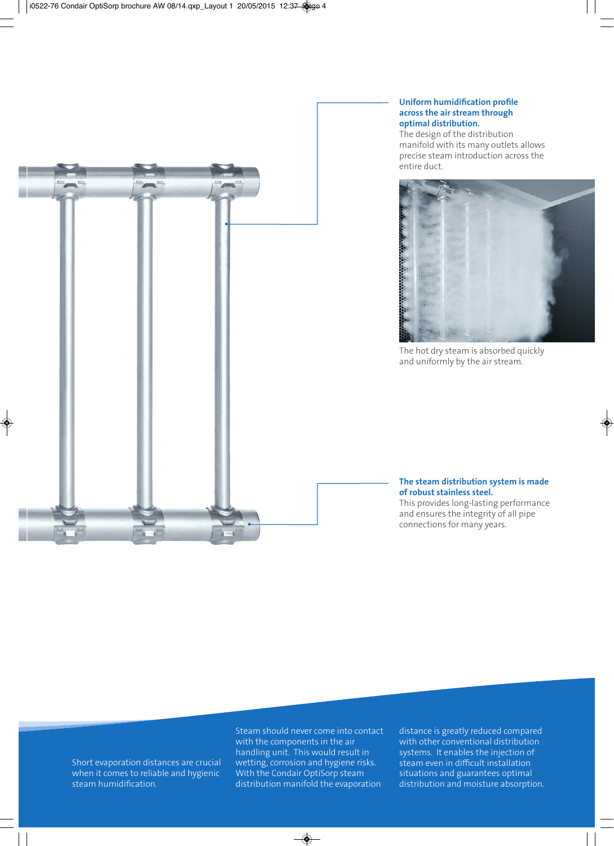#### **Uniform humidification profile across the air stream through optimal distribution.**

The design of the distribution manifold with its many outlets allows precise steam introduction across the entire duct.



The hot dry steam is absorbed quickly and uniformly by the air stream.

#### **The steam distribution system is made of robust stainless steel.**

This provides long-lasting performance and ensures the integrity of all pipe connections for many years.



Steam should never come into contact with the components in the air handling unit. This would result in wetting, corrosion and hygiene risks. With the Condair OptiSorp steam distribution manifold the evaporation

distance is greatly reduced compared with other conventional distribution systems. It enables the injection of steam even in difficult installation situations and guarantees optimal distribution and moisture absorption.